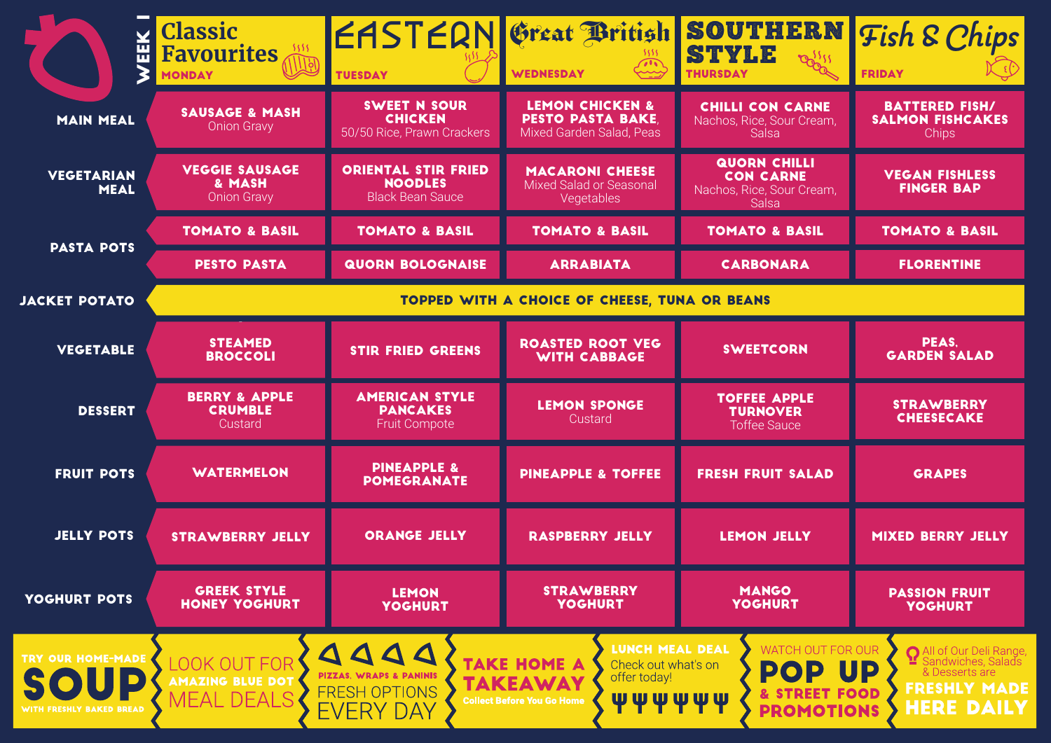| M<br>굞                                                | <b>Classic</b><br><b>Favourites</b><br><b>MONDAY</b>  | EASTERN Great British SOUTHERN Fish & Chips<br><b>TUESDAY</b>                                                         | <b>WEDNESDAY</b>                                                                                                                                    | STYLE<br><b>THURSDAY</b>                                                             | <b>FRIDAY</b>                                                                                                          |  |  |
|-------------------------------------------------------|-------------------------------------------------------|-----------------------------------------------------------------------------------------------------------------------|-----------------------------------------------------------------------------------------------------------------------------------------------------|--------------------------------------------------------------------------------------|------------------------------------------------------------------------------------------------------------------------|--|--|
| <b>MAIN MEAL</b>                                      | <b>SAUSAGE &amp; MASH</b><br><b>Onion Gravy</b>       | <b>SWEET N SOUR</b><br><b>CHICKEN</b><br>50/50 Rice, Prawn Crackers                                                   | <b>LEMON CHICKEN &amp;</b><br><b>PESTO PASTA BAKE,</b><br>Mixed Garden Salad, Peas                                                                  | <b>CHILLI CON CARNE</b><br>Nachos, Rice, Sour Cream,<br><b>Salsa</b>                 | <b>BATTERED FISH/</b><br><b>SALMON FISHCAKES</b><br><b>Chips</b>                                                       |  |  |
| <b>VEGETARIAN</b><br><b>MEAL</b>                      | <b>VEGGIE SAUSAGE</b><br>& MASH<br><b>Onion Gravy</b> | <b>ORIENTAL STIR FRIED</b><br><b>NOODLES</b><br><b>Black Bean Sauce</b>                                               | <b>MACARONI CHEESE</b><br>Mixed Salad or Seasonal<br>Vegetables                                                                                     | <b>QUORN CHILLI</b><br><b>CON CARNE</b><br>Nachos, Rice, Sour Cream,<br>Salsa        | <b>VEGAN FISHLESS</b><br><b>FINGER BAP</b>                                                                             |  |  |
| <b>PASTA POTS</b>                                     | <b>TOMATO &amp; BASIL</b>                             | <b>TOMATO &amp; BASIL</b>                                                                                             | <b>TOMATO &amp; BASIL</b>                                                                                                                           | <b>TOMATO &amp; BASIL</b>                                                            | <b>TOMATO &amp; BASIL</b>                                                                                              |  |  |
|                                                       | <b>PESTO PASTA</b>                                    | <b>QUORN BOLOGNAISE</b>                                                                                               | <b>ARRABIATA</b>                                                                                                                                    | <b>CARBONARA</b>                                                                     | <b>FLORENTINE</b>                                                                                                      |  |  |
| <b>JACKET POTATO</b>                                  | TOPPED WITH A CHOICE OF CHEESE, TUNA OR BEANS         |                                                                                                                       |                                                                                                                                                     |                                                                                      |                                                                                                                        |  |  |
| <b>VEGETABLE</b>                                      | <b>STEAMED</b><br><b>BROCCOLI</b>                     | <b>STIR FRIED GREENS</b>                                                                                              | <b>ROASTED ROOT VEG</b><br><b>WITH CABBAGE</b>                                                                                                      | <b>SWEETCORN</b>                                                                     | PEAS.<br><b>GARDEN SALAD</b>                                                                                           |  |  |
| <b>DESSERT</b>                                        | <b>BERRY &amp; APPLE</b><br><b>CRUMBLE</b><br>Custard | <b>AMERICAN STYLE</b><br><b>PANCAKES</b><br>Fruit Compote                                                             | <b>LEMON SPONGE</b><br>Custard                                                                                                                      | <b>TOFFEE APPLE</b><br><b>TURNOVER</b><br><b>Toffee Sauce</b>                        | <b>STRAWBERRY</b><br><b>CHEESECAKE</b>                                                                                 |  |  |
| <b>FRUIT POTS</b>                                     | <b>WATERMELON</b>                                     | <b>PINEAPPLE &amp;</b><br><b>POMEGRANATE</b>                                                                          | <b>PINEAPPLE &amp; TOFFEE</b>                                                                                                                       | <b>FRESH FRUIT SALAD</b>                                                             | <b>GRAPES</b>                                                                                                          |  |  |
| <b>JELLY POTS</b>                                     | <b>STRAWBERRY JELLY</b>                               | <b>ORANGE JELLY</b>                                                                                                   | <b>RASPBERRY JELLY</b>                                                                                                                              | <b>LEMON JELLY</b>                                                                   | <b>MIXED BERRY JELLY</b>                                                                                               |  |  |
| YOGHURT POTS                                          | <b>GREEK STYLE</b><br><b>HONEY YOGHURT</b>            | <b>LEMON</b><br><b>YOGHURT</b>                                                                                        | <b>STRAWBERRY</b><br><b>YOGHURT</b>                                                                                                                 | <b>MANGO</b><br><b>YOGHURT</b>                                                       | <b>PASSION FRUIT</b><br><b>YOGHURT</b>                                                                                 |  |  |
| TRY OUR HOME-MADE<br>SOUP<br>WITH FRESHLY BAKED BREAD | OOK OUT FOR<br>AMAZING BLUE DOT<br>MEAL DEALS         | $\triangle$ $\triangle$ $\triangle$<br><b>PIZZAS. WRAPS &amp; PANINIS</b><br><b>FRESH OPTIONS</b><br><b>EVERY DAY</b> | LUNCH MEAL DEAL<br><b>TAKE HOME A</b><br>Check out what's on<br>offer today!<br><b>TAKEAWA</b><br><b>WWWWW</b><br><b>Collect Before You Go Home</b> | <b>WATCH OUT FOR OUR</b><br><b>POP UP</b><br><b>STREET FOOD</b><br><b>PROMOTIONS</b> | All of Our Deli Range<br><sup>1</sup> Sandwiches, Salads<br>& Desserts are<br><b>FRESHLY MADE</b><br><b>HERE DAILY</b> |  |  |

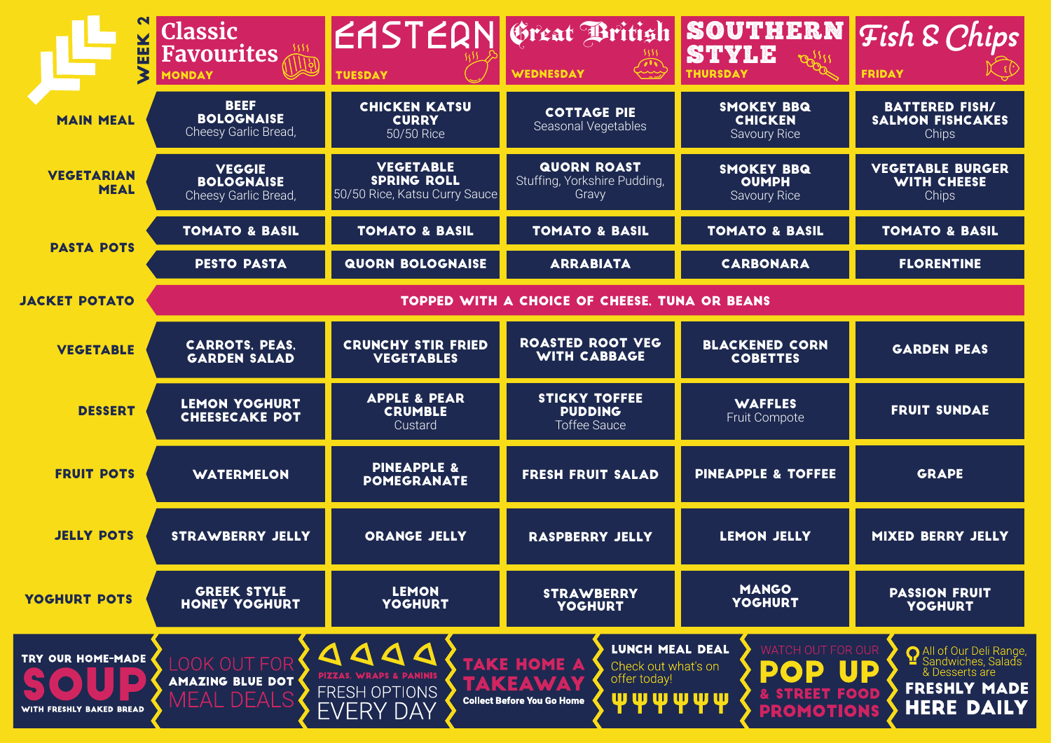| 핊                                             | <b>Classic</b><br>5555<br><b>Favourites</b><br><b>MONDAY</b> | EASTERN Great British SOUTHERN Fish & Chips<br><b>TUESDAY</b>                                                   | $\sim$ $\rightarrow$<br><b>WEDNESDAY</b>                                                                                                                   | STYLE<br>$22^{55}$<br><b>THURSDAY</b>                                   | <b>FRIDAY</b>                                                                                                    |  |  |
|-----------------------------------------------|--------------------------------------------------------------|-----------------------------------------------------------------------------------------------------------------|------------------------------------------------------------------------------------------------------------------------------------------------------------|-------------------------------------------------------------------------|------------------------------------------------------------------------------------------------------------------|--|--|
| <b>MAIN MEAL</b>                              | <b>BEEF</b><br><b>BOLOGNAISE</b><br>Cheesy Garlic Bread,     | <b>CHICKEN KATSU</b><br><b>CURRY</b><br>50/50 Rice                                                              | <b>COTTAGE PIE</b><br>Seasonal Vegetables                                                                                                                  | <b>SMOKEY BBQ</b><br><b>CHICKEN</b><br><b>Savoury Rice</b>              | <b>BATTERED FISH/</b><br><b>SALMON FISHCAKES</b><br>Chips                                                        |  |  |
| <b>VEGETARIAN</b><br><b>MEAL</b>              | <b>VEGGIE</b><br><b>BOLOGNAISE</b><br>Cheesy Garlic Bread,   | <b>VEGETABLE</b><br><b>SPRING ROLL</b><br>50/50 Rice, Katsu Curry Sauce                                         | <b>QUORN ROAST</b><br>Stuffing, Yorkshire Pudding,<br>Gravy                                                                                                | <b>SMOKEY BBQ</b><br><b>OUMPH</b><br><b>Savoury Rice</b>                | <b>VEGETABLE BURGER</b><br><b>WITH CHEESE</b><br><b>Chips</b>                                                    |  |  |
| <b>PASTA POTS</b>                             | <b>TOMATO &amp; BASIL</b>                                    | <b>TOMATO &amp; BASIL</b>                                                                                       | <b>TOMATO &amp; BASIL</b>                                                                                                                                  | <b>TOMATO &amp; BASIL</b>                                               | <b>TOMATO &amp; BASIL</b>                                                                                        |  |  |
|                                               | <b>PESTO PASTA</b>                                           | <b>QUORN BOLOGNAISE</b>                                                                                         | <b>ARRABIATA</b>                                                                                                                                           | <b>CARBONARA</b>                                                        | <b>FLORENTINE</b>                                                                                                |  |  |
| <b>JACKET POTATO</b>                          | TOPPED WITH A CHOICE OF CHEESE, TUNA OR BEANS                |                                                                                                                 |                                                                                                                                                            |                                                                         |                                                                                                                  |  |  |
| <b>VEGETABLE</b>                              | <b>CARROTS, PEAS,</b><br><b>GARDEN SALAD</b>                 | <b>CRUNCHY STIR FRIED</b><br><b>VEGETABLES</b>                                                                  | <b>ROASTED ROOT VEG</b><br><b>WITH CABBAGE</b>                                                                                                             | <b>BLACKENED CORN</b><br><b>COBETTES</b>                                | <b>GARDEN PEAS</b>                                                                                               |  |  |
| <b>DESSERT</b>                                | LEMON YOGHURT<br><b>CHEESECAKE POT</b>                       | <b>APPLE &amp; PEAR</b><br><b>CRUMBLE</b><br>Custard                                                            | <b>STICKY TOFFEE</b><br><b>PUDDING</b><br><b>Toffee Sauce</b>                                                                                              | <b>WAFFLES</b><br>Fruit Compote                                         | <b>FRUIT SUNDAE</b>                                                                                              |  |  |
| <b>FRUIT POTS</b>                             | <b>WATERMELON</b>                                            | <b>PINEAPPLE &amp;</b><br><b>POMEGRANATE</b>                                                                    | <b>FRESH FRUIT SALAD</b>                                                                                                                                   | <b>PINEAPPLE &amp; TOFFEE</b>                                           | <b>GRAPE</b>                                                                                                     |  |  |
| <b>JELLY POTS</b>                             | <b>STRAWBERRY JELLY</b>                                      | <b>ORANGE JELLY</b>                                                                                             | <b>RASPBERRY JELLY</b>                                                                                                                                     | <b>LEMON JELLY</b>                                                      | <b>MIXED BERRY JELLY</b>                                                                                         |  |  |
| YOGHURT POTS                                  | <b>GREEK STYLE</b><br><b>HONEY YOGHURT</b>                   | <b>LEMON</b><br><b>YOGHURT</b>                                                                                  | <b>STRAWBERRY</b><br><b>YOGHURT</b>                                                                                                                        | <b>MANGO</b><br><b>YOGHURT</b>                                          | <b>PASSION FRUIT</b><br><b>YOGHURT</b>                                                                           |  |  |
| TRY OUR HOME-MADE<br>WITH FRESHLY BAKED BREAD | <b>LOOK OUT FOR</b><br><b>AMAZING BLUE DOT</b><br>MEAL DEALS | $\triangle$ $\triangle$ $\triangle$ $\triangle$<br>PIZZAS, WRAPS & PANINIS<br>FRESH OPTIONS<br><b>EVERY DAY</b> | <b>LUNCH MEAL DEAL</b><br><b>TAKE HOME A</b><br>Check out what's on<br>offer today!<br><b>TAKEAWAY</b><br><b>wwww</b><br><b>Collect Before You Go Home</b> | OUT FOR OUR<br>$\mathbf{OP}$<br>D<br>& STREET FOOD<br><b>PROMOTIONS</b> | All of Our Deli Range,<br>Sandwiches, Salads<br>UD<br>& Desserts are<br><b>FRESHLY MADE</b><br><b>HERE DAILY</b> |  |  |